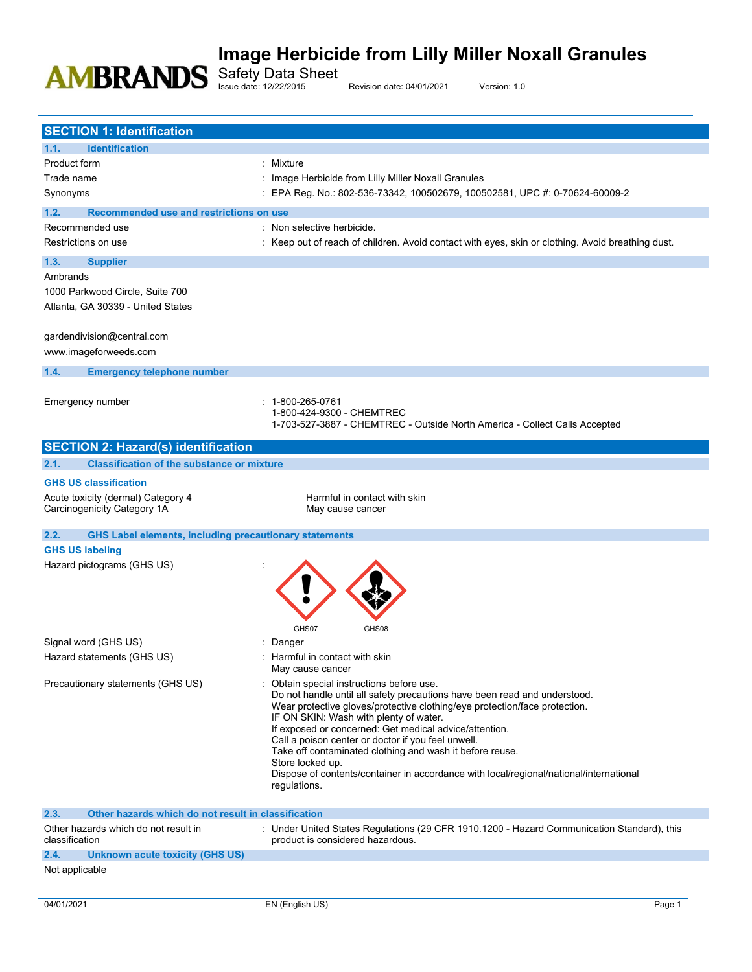Safety Data Sheet

Issue date: 12/22/2015 Revision date: 04/01/2021 Version: 1.0

| <b>SECTION 1: Identification</b>                                      |                                                                                                                                                                                                                                                                                                                                                                                                                                                                                                                                                        |
|-----------------------------------------------------------------------|--------------------------------------------------------------------------------------------------------------------------------------------------------------------------------------------------------------------------------------------------------------------------------------------------------------------------------------------------------------------------------------------------------------------------------------------------------------------------------------------------------------------------------------------------------|
| 1.1.<br><b>Identification</b>                                         |                                                                                                                                                                                                                                                                                                                                                                                                                                                                                                                                                        |
| <b>Product form</b>                                                   | : Mixture                                                                                                                                                                                                                                                                                                                                                                                                                                                                                                                                              |
| Trade name                                                            | : Image Herbicide from Lilly Miller Noxall Granules                                                                                                                                                                                                                                                                                                                                                                                                                                                                                                    |
| Synonyms                                                              | : EPA Reg. No.: 802-536-73342, 100502679, 100502581, UPC #: 0-70624-60009-2                                                                                                                                                                                                                                                                                                                                                                                                                                                                            |
| 1.2.<br>Recommended use and restrictions on use                       |                                                                                                                                                                                                                                                                                                                                                                                                                                                                                                                                                        |
| Recommended use                                                       | : Non selective herbicide.                                                                                                                                                                                                                                                                                                                                                                                                                                                                                                                             |
| Restrictions on use                                                   | : Keep out of reach of children. Avoid contact with eyes, skin or clothing. Avoid breathing dust.                                                                                                                                                                                                                                                                                                                                                                                                                                                      |
| 1.3.<br><b>Supplier</b>                                               |                                                                                                                                                                                                                                                                                                                                                                                                                                                                                                                                                        |
| Ambrands                                                              |                                                                                                                                                                                                                                                                                                                                                                                                                                                                                                                                                        |
| 1000 Parkwood Circle, Suite 700<br>Atlanta, GA 30339 - United States  |                                                                                                                                                                                                                                                                                                                                                                                                                                                                                                                                                        |
| gardendivision@central.com<br>www.imageforweeds.com                   |                                                                                                                                                                                                                                                                                                                                                                                                                                                                                                                                                        |
| 1.4.<br><b>Emergency telephone number</b>                             |                                                                                                                                                                                                                                                                                                                                                                                                                                                                                                                                                        |
|                                                                       |                                                                                                                                                                                                                                                                                                                                                                                                                                                                                                                                                        |
| Emergency number                                                      | 1-800-265-0761<br>1-800-424-9300 - CHEMTREC<br>1-703-527-3887 - CHEMTREC - Outside North America - Collect Calls Accepted                                                                                                                                                                                                                                                                                                                                                                                                                              |
| <b>SECTION 2: Hazard(s) identification</b>                            |                                                                                                                                                                                                                                                                                                                                                                                                                                                                                                                                                        |
| <b>Classification of the substance or mixture</b><br>2.1.             |                                                                                                                                                                                                                                                                                                                                                                                                                                                                                                                                                        |
| <b>GHS US classification</b>                                          |                                                                                                                                                                                                                                                                                                                                                                                                                                                                                                                                                        |
| Acute toxicity (dermal) Category 4                                    | Harmful in contact with skin                                                                                                                                                                                                                                                                                                                                                                                                                                                                                                                           |
| Carcinogenicity Category 1A                                           | May cause cancer                                                                                                                                                                                                                                                                                                                                                                                                                                                                                                                                       |
| <b>GHS Label elements, including precautionary statements</b><br>2.2. |                                                                                                                                                                                                                                                                                                                                                                                                                                                                                                                                                        |
| <b>GHS US labeling</b>                                                |                                                                                                                                                                                                                                                                                                                                                                                                                                                                                                                                                        |
| Hazard pictograms (GHS US)                                            | GHS07<br>GHS08                                                                                                                                                                                                                                                                                                                                                                                                                                                                                                                                         |
| Signal word (GHS US)                                                  | Danger                                                                                                                                                                                                                                                                                                                                                                                                                                                                                                                                                 |
| Hazard statements (GHS US)                                            | : Harmful in contact with skin<br>May cause cancer                                                                                                                                                                                                                                                                                                                                                                                                                                                                                                     |
| Precautionary statements (GHS US)                                     | Obtain special instructions before use.<br>Do not handle until all safety precautions have been read and understood.<br>Wear protective gloves/protective clothing/eye protection/face protection.<br>IF ON SKIN: Wash with plenty of water.<br>If exposed or concerned: Get medical advice/attention.<br>Call a poison center or doctor if you feel unwell.<br>Take off contaminated clothing and wash it before reuse.<br>Store locked up.<br>Dispose of contents/container in accordance with local/regional/national/international<br>regulations. |
| 2.3.<br>Other hazards which do not result in classification           |                                                                                                                                                                                                                                                                                                                                                                                                                                                                                                                                                        |
| Other hazards which do not result in<br>classification                | : Under United States Regulations (29 CFR 1910.1200 - Hazard Communication Standard), this<br>product is considered hazardous.                                                                                                                                                                                                                                                                                                                                                                                                                         |
| 2.4.<br><b>Unknown acute toxicity (GHS US)</b>                        |                                                                                                                                                                                                                                                                                                                                                                                                                                                                                                                                                        |
| Not applicable                                                        |                                                                                                                                                                                                                                                                                                                                                                                                                                                                                                                                                        |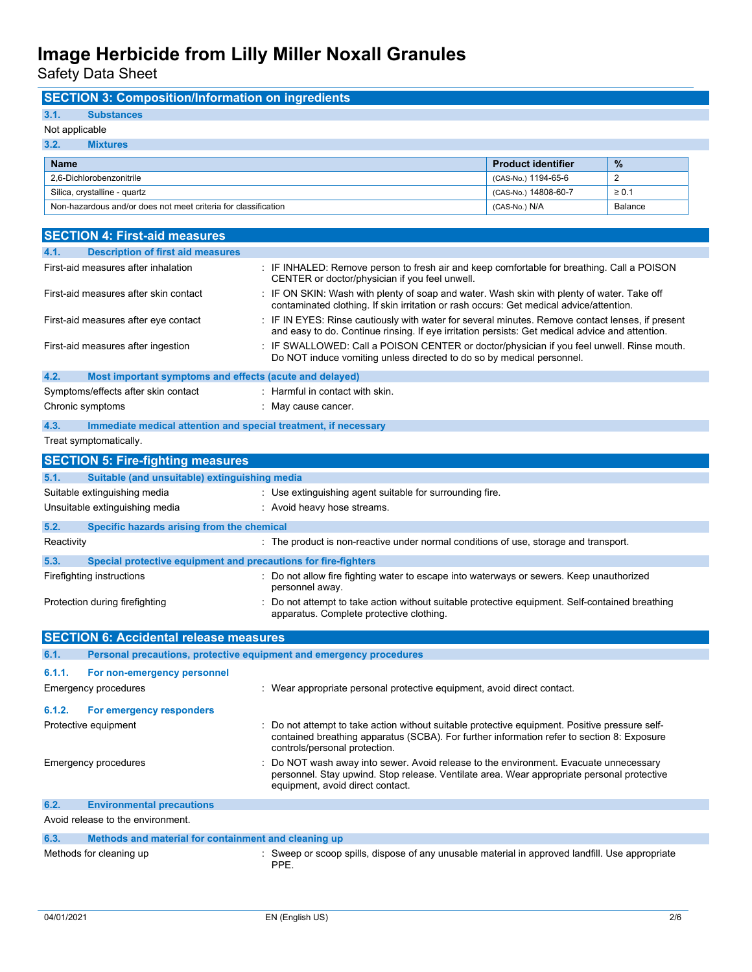**SECTION 3: Composition/Information on ingredients**

Safety Data Sheet

| 3.1.<br><b>Substances</b>                                               |                                                                                                                                                                                                                             |                           |                |
|-------------------------------------------------------------------------|-----------------------------------------------------------------------------------------------------------------------------------------------------------------------------------------------------------------------------|---------------------------|----------------|
| Not applicable                                                          |                                                                                                                                                                                                                             |                           |                |
| 3.2.<br><b>Mixtures</b>                                                 |                                                                                                                                                                                                                             |                           |                |
| <b>Name</b>                                                             |                                                                                                                                                                                                                             | <b>Product identifier</b> | %              |
| 2,6-Dichlorobenzonitrile                                                |                                                                                                                                                                                                                             | (CAS-No.) 1194-65-6       | $\overline{2}$ |
| Silica, crystalline - quartz                                            |                                                                                                                                                                                                                             | (CAS-No.) 14808-60-7      | $\geq 0.1$     |
| Non-hazardous and/or does not meet criteria for classification          |                                                                                                                                                                                                                             | (CAS-No.) N/A             | Balance        |
|                                                                         |                                                                                                                                                                                                                             |                           |                |
| <b>SECTION 4: First-aid measures</b>                                    |                                                                                                                                                                                                                             |                           |                |
| 4.1.<br><b>Description of first aid measures</b>                        |                                                                                                                                                                                                                             |                           |                |
| First-aid measures after inhalation                                     | : IF INHALED: Remove person to fresh air and keep comfortable for breathing. Call a POISON<br>CENTER or doctor/physician if you feel unwell.                                                                                |                           |                |
| First-aid measures after skin contact                                   | : IF ON SKIN: Wash with plenty of soap and water. Wash skin with plenty of water. Take off<br>contaminated clothing. If skin irritation or rash occurs: Get medical advice/attention.                                       |                           |                |
| First-aid measures after eye contact                                    | : IF IN EYES: Rinse cautiously with water for several minutes. Remove contact lenses, if present<br>and easy to do. Continue rinsing. If eye irritation persists: Get medical advice and attention.                         |                           |                |
| First-aid measures after ingestion                                      | : IF SWALLOWED: Call a POISON CENTER or doctor/physician if you feel unwell. Rinse mouth.<br>Do NOT induce vomiting unless directed to do so by medical personnel.                                                          |                           |                |
| 4.2.<br>Most important symptoms and effects (acute and delayed)         |                                                                                                                                                                                                                             |                           |                |
| Symptoms/effects after skin contact                                     | : Harmful in contact with skin.                                                                                                                                                                                             |                           |                |
| Chronic symptoms                                                        | : May cause cancer.                                                                                                                                                                                                         |                           |                |
| Immediate medical attention and special treatment, if necessary<br>4.3. |                                                                                                                                                                                                                             |                           |                |
| Treat symptomatically.                                                  |                                                                                                                                                                                                                             |                           |                |
|                                                                         |                                                                                                                                                                                                                             |                           |                |
| <b>SECTION 5: Fire-fighting measures</b>                                |                                                                                                                                                                                                                             |                           |                |
| 5.1.<br>Suitable (and unsuitable) extinguishing media                   |                                                                                                                                                                                                                             |                           |                |
| Suitable extinguishing media                                            | : Use extinguishing agent suitable for surrounding fire.                                                                                                                                                                    |                           |                |
| Unsuitable extinguishing media                                          | : Avoid heavy hose streams.                                                                                                                                                                                                 |                           |                |
| 5.2.<br>Specific hazards arising from the chemical                      |                                                                                                                                                                                                                             |                           |                |
| Reactivity                                                              | : The product is non-reactive under normal conditions of use, storage and transport.                                                                                                                                        |                           |                |
| 5.3.<br>Special protective equipment and precautions for fire-fighters  |                                                                                                                                                                                                                             |                           |                |
| Firefighting instructions                                               | : Do not allow fire fighting water to escape into waterways or sewers. Keep unauthorized<br>personnel away.                                                                                                                 |                           |                |
| Protection during firefighting                                          | : Do not attempt to take action without suitable protective equipment. Self-contained breathing<br>apparatus. Complete protective clothing.                                                                                 |                           |                |
| <b>SECTION 6: Accidental release measures</b>                           |                                                                                                                                                                                                                             |                           |                |
| 6.1.                                                                    | Personal precautions, protective equipment and emergency procedures                                                                                                                                                         |                           |                |
| 6.1.1.                                                                  |                                                                                                                                                                                                                             |                           |                |
| For non-emergency personnel<br><b>Emergency procedures</b>              | : Wear appropriate personal protective equipment, avoid direct contact.                                                                                                                                                     |                           |                |
|                                                                         |                                                                                                                                                                                                                             |                           |                |
| 6.1.2.<br>For emergency responders                                      |                                                                                                                                                                                                                             |                           |                |
| Protective equipment                                                    | Do not attempt to take action without suitable protective equipment. Positive pressure self-<br>contained breathing apparatus (SCBA). For further information refer to section 8: Exposure<br>controls/personal protection. |                           |                |
| Emergency procedures                                                    | Do NOT wash away into sewer. Avoid release to the environment. Evacuate unnecessary<br>personnel. Stay upwind. Stop release. Ventilate area. Wear appropriate personal protective<br>equipment, avoid direct contact.       |                           |                |
| 6.2.<br><b>Environmental precautions</b>                                |                                                                                                                                                                                                                             |                           |                |
| Avoid release to the environment.                                       |                                                                                                                                                                                                                             |                           |                |
| 6.3.<br>Methods and material for containment and cleaning up            |                                                                                                                                                                                                                             |                           |                |
| Methods for cleaning up                                                 | : Sweep or scoop spills, dispose of any unusable material in approved landfill. Use appropriate                                                                                                                             |                           |                |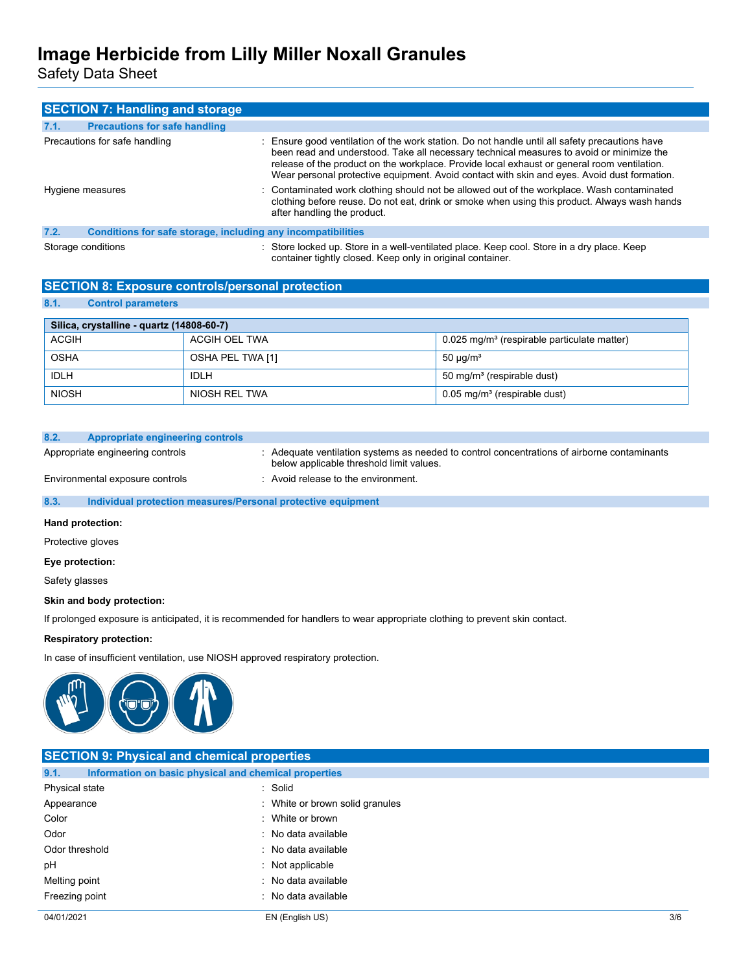Safety Data Sheet

|      | <b>SECTION 7: Handling and storage</b>                       |                                                                                                                                                                                                                                                                                                                                                                                          |
|------|--------------------------------------------------------------|------------------------------------------------------------------------------------------------------------------------------------------------------------------------------------------------------------------------------------------------------------------------------------------------------------------------------------------------------------------------------------------|
| 7.1. | <b>Precautions for safe handling</b>                         |                                                                                                                                                                                                                                                                                                                                                                                          |
|      | Precautions for safe handling                                | : Ensure good ventilation of the work station. Do not handle until all safety precautions have<br>been read and understood. Take all necessary technical measures to avoid or minimize the<br>release of the product on the workplace. Provide local exhaust or general room ventilation.<br>Wear personal protective equipment. Avoid contact with skin and eyes. Avoid dust formation. |
|      | Hygiene measures                                             | : Contaminated work clothing should not be allowed out of the workplace. Wash contaminated<br>clothing before reuse. Do not eat, drink or smoke when using this product. Always wash hands<br>after handling the product.                                                                                                                                                                |
| 7.2. | Conditions for safe storage, including any incompatibilities |                                                                                                                                                                                                                                                                                                                                                                                          |
|      | Storage conditions                                           | : Store locked up. Store in a well-ventilated place. Keep cool. Store in a dry place. Keep<br>container tightly closed. Keep only in original container.                                                                                                                                                                                                                                 |

## **SECTION 8: Exposure controls/personal protection**

## **8.1. Control parameters**

| Silica, crystalline - quartz (14808-60-7) |                  |                                                           |
|-------------------------------------------|------------------|-----------------------------------------------------------|
| <b>ACGIH</b>                              | ACGIH OEL TWA    | $0.025$ mg/m <sup>3</sup> (respirable particulate matter) |
| <b>OSHA</b>                               | OSHA PEL TWA [1] | 50 $\mu$ g/m <sup>3</sup>                                 |
| IDLH                                      | IDLH             | 50 mg/m <sup>3</sup> (respirable dust)                    |
| <b>NIOSH</b>                              | NIOSH REL TWA    | $0.05$ mg/m <sup>3</sup> (respirable dust)                |

#### **8.2. Appropriate engineering controls**

Appropriate engineering controls : Adequate ventilation systems as needed to control concentrations of airborne contaminants below applicable threshold limit values.

Environmental exposure controls : Avoid release to the environment.

#### **8.3. Individual protection measures/Personal protective equipment**

#### **Hand protection:**

Protective gloves

#### **Eye protection:**

Safety glasses

#### **Skin and body protection:**

If prolonged exposure is anticipated, it is recommended for handlers to wear appropriate clothing to prevent skin contact.

#### **Respiratory protection:**

In case of insufficient ventilation, use NIOSH approved respiratory protection.



| <b>SECTION 9: Physical and chemical properties</b> |                                                       |     |
|----------------------------------------------------|-------------------------------------------------------|-----|
| 9.1.                                               | Information on basic physical and chemical properties |     |
| Physical state                                     | : Solid                                               |     |
| Appearance                                         | : White or brown solid granules                       |     |
| Color                                              | : White or brown                                      |     |
| Odor                                               | : No data available                                   |     |
| Odor threshold                                     | : No data available                                   |     |
| pH                                                 | $:$ Not applicable                                    |     |
| Melting point                                      | : No data available                                   |     |
| Freezing point                                     | : No data available                                   |     |
| 04/01/2021                                         | EN (English US)                                       | 3/6 |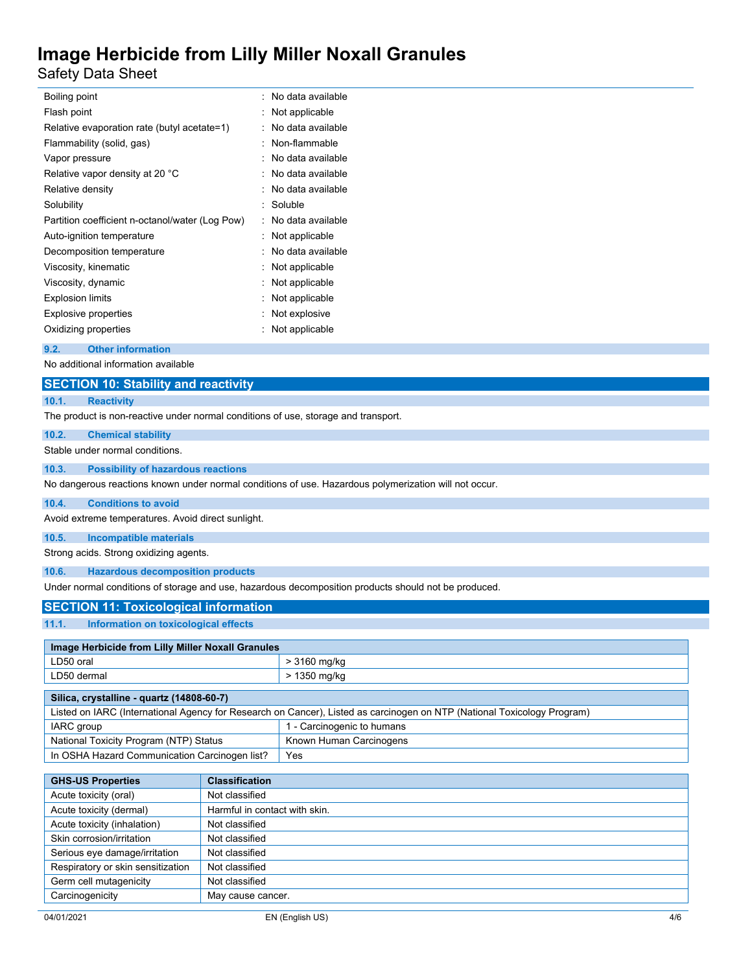Safety Data Sheet

| Boiling point                                   | : No data available |
|-------------------------------------------------|---------------------|
| Flash point                                     | Not applicable      |
| Relative evaporation rate (butyl acetate=1)     | No data available   |
| Flammability (solid, gas)                       | Non-flammable       |
| Vapor pressure                                  | No data available   |
| Relative vapor density at 20 °C                 | No data available   |
| Relative density                                | No data available   |
| Solubility                                      | Soluble             |
| Partition coefficient n-octanol/water (Log Pow) | No data available   |
| Auto-ignition temperature                       | Not applicable      |
| Decomposition temperature                       | No data available   |
| Viscosity, kinematic                            | Not applicable      |
| Viscosity, dynamic                              | Not applicable      |
| <b>Explosion limits</b>                         | Not applicable      |
| <b>Explosive properties</b>                     | Not explosive       |
| Oxidizing properties                            | Not applicable      |
|                                                 |                     |

#### **9.2. Other information**

No additional information available

## **SECTION 10: Stability and reactivity**

# **10.1. Reactivity**

The product is non-reactive under normal conditions of use, storage and transport.

#### **10.2. Chemical stability**

Stable under normal conditions.

#### **10.3. Possibility of hazardous reactions**

No dangerous reactions known under normal conditions of use. Hazardous polymerization will not occur.

#### **10.4. Conditions to avoid**

Avoid extreme temperatures. Avoid direct sunlight.

#### **10.5. Incompatible materials**

Strong acids. Strong oxidizing agents.

#### **10.6. Hazardous decomposition products**

Under normal conditions of storage and use, hazardous decomposition products should not be produced.

## **SECTION 11: Toxicological information**

### **11.1. Information on toxicological effects**

| Image Herbicide from Lilly Miller Noxall Granules |              |
|---------------------------------------------------|--------------|
| LD50 oral                                         | > 3160 mg/kg |
| LD50 dermal                                       | > 1350 mg/kg |
|                                                   |              |

| Silica, crystalline - quartz (14808-60-7)                                                                               |                            |
|-------------------------------------------------------------------------------------------------------------------------|----------------------------|
| Listed on IARC (International Agency for Research on Cancer), Listed as carcinogen on NTP (National Toxicology Program) |                            |
| IARC group                                                                                                              | 1 - Carcinogenic to humans |
| National Toxicity Program (NTP) Status                                                                                  | Known Human Carcinogens    |
| In OSHA Hazard Communication Carcinogen list?                                                                           | Yes                        |

| <b>GHS-US Properties</b>          | <b>Classification</b>         |
|-----------------------------------|-------------------------------|
| Acute toxicity (oral)             | Not classified                |
| Acute toxicity (dermal)           | Harmful in contact with skin. |
| Acute toxicity (inhalation)       | Not classified                |
| Skin corrosion/irritation         | Not classified                |
| Serious eye damage/irritation     | Not classified                |
| Respiratory or skin sensitization | Not classified                |
| Germ cell mutagenicity            | Not classified                |
| Carcinogenicity                   | May cause cancer.             |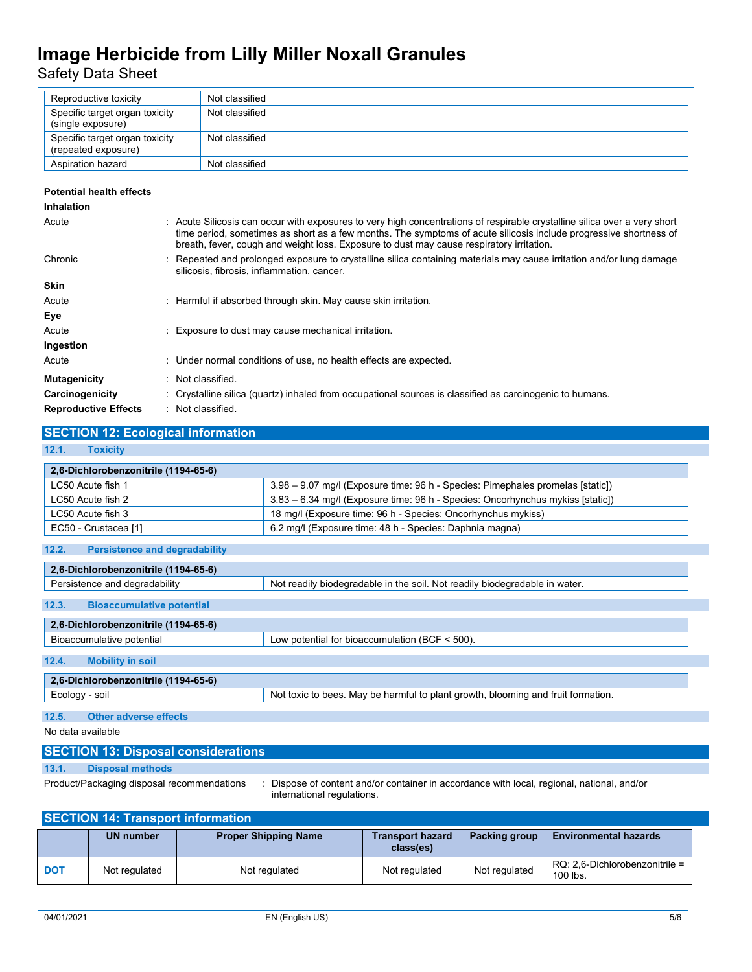Safety Data Sheet

| Reproductive toxicity                                 | Not classified |
|-------------------------------------------------------|----------------|
| Specific target organ toxicity<br>(single exposure)   | Not classified |
| Specific target organ toxicity<br>(repeated exposure) | Not classified |
| Aspiration hazard                                     | Not classified |

#### **Potential health effects**

| <b>Inhalation</b>           |                                                                                                                                                                                                                                                                                                                                            |
|-----------------------------|--------------------------------------------------------------------------------------------------------------------------------------------------------------------------------------------------------------------------------------------------------------------------------------------------------------------------------------------|
| Acute                       | : Acute Silicosis can occur with exposures to very high concentrations of respirable crystalline silica over a very short<br>time period, sometimes as short as a few months. The symptoms of acute silicosis include progressive shortness of<br>breath, fever, cough and weight loss. Exposure to dust may cause respiratory irritation. |
| Chronic                     | : Repeated and prolonged exposure to crystalline silica containing materials may cause irritation and/or lung damage<br>silicosis, fibrosis, inflammation, cancer.                                                                                                                                                                         |
| <b>Skin</b>                 |                                                                                                                                                                                                                                                                                                                                            |
| Acute                       | : Harmful if absorbed through skin. May cause skin irritation.                                                                                                                                                                                                                                                                             |
| Eye                         |                                                                                                                                                                                                                                                                                                                                            |
| Acute                       | : Exposure to dust may cause mechanical irritation.                                                                                                                                                                                                                                                                                        |
| Ingestion                   |                                                                                                                                                                                                                                                                                                                                            |
| Acute                       | : Under normal conditions of use, no health effects are expected.                                                                                                                                                                                                                                                                          |
| <b>Mutagenicity</b>         | Not classified.                                                                                                                                                                                                                                                                                                                            |
| Carcinogenicity             | : Crystalline silica (quartz) inhaled from occupational sources is classified as carcinogenic to humans.                                                                                                                                                                                                                                   |
| <b>Reproductive Effects</b> | : Not classified.                                                                                                                                                                                                                                                                                                                          |

## **SECTION 12: Ecological information**

### **12.1. Toxicity**

| 2,6-Dichlorobenzonitrile (1194-65-6) |                                                                                |
|--------------------------------------|--------------------------------------------------------------------------------|
| LC50 Acute fish 1                    | 3.98 – 9.07 mg/l (Exposure time: 96 h - Species: Pimephales promelas [static]) |
| LC50 Acute fish 2                    | 3.83 – 6.34 mg/l (Exposure time: 96 h - Species: Oncorhynchus mykiss [static]) |
| LC50 Acute fish 3                    | 18 mg/l (Exposure time: 96 h - Species: Oncorhynchus mykiss)                   |
| EC50 - Crustacea [1]                 | 6.2 mg/l (Exposure time: 48 h - Species: Daphnia magna)                        |

| 2.6-Dichlorobenzonitrile (1194-65-6)      |                                                                                  |  |  |  |
|-------------------------------------------|----------------------------------------------------------------------------------|--|--|--|
| Persistence and degradability             | Not readily biodegradable in the soil. Not readily biodegradable in water.       |  |  |  |
| 12.3.<br><b>Bioaccumulative potential</b> |                                                                                  |  |  |  |
| 2,6-Dichlorobenzonitrile (1194-65-6)      |                                                                                  |  |  |  |
| Bioaccumulative potential                 | Low potential for bioaccumulation (BCF $\leq$ 500).                              |  |  |  |
| 12.4.<br><b>Mobility in soil</b>          |                                                                                  |  |  |  |
| 2,6-Dichlorobenzonitrile (1194-65-6)      |                                                                                  |  |  |  |
| Ecology - soil                            | Not toxic to bees. May be harmful to plant growth, blooming and fruit formation. |  |  |  |
|                                           |                                                                                  |  |  |  |

**12.5. Other adverse effects**

No data available

## **SECTION 13: Disposal considerations**

## **13.1. Disposal methods**

Product/Packaging disposal recommendations : Dispose of content and/or container in accordance with local, regional, national, and/or international regulations.

## **SECTION 14: Transport information**

|            | <b>UN number</b> | <b>Proper Shipping Name</b> | <b>Transport hazard</b><br>class(es) | Packing group | <b>Environmental hazards</b>                    |
|------------|------------------|-----------------------------|--------------------------------------|---------------|-------------------------------------------------|
| <b>DOT</b> | Not regulated    | Not regulated               | Not regulated                        | Not regulated | $RQ: 2.6$ -Dichlorobenzonitrile =<br>$100$ lbs. |